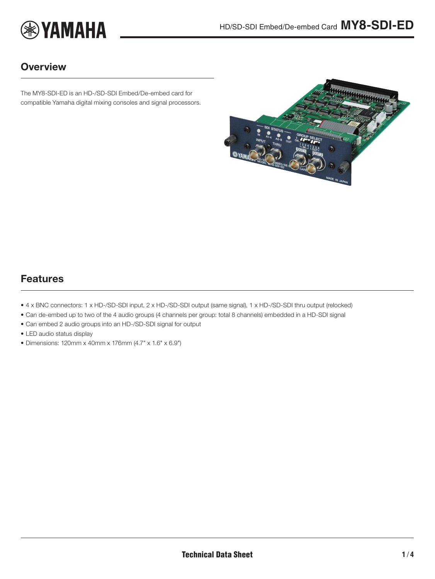

### **Overview**

The MY8-SDI-ED is an HD-/SD-SDI Embed/De-embed card for compatible Yamaha digital mixing consoles and signal processors.

<span id="page-0-0"></span>

## Features

- 4 x BNC connectors: 1 x HD-/SD-SDI input, 2 x HD-/SD-SDI output (same signal), 1 x HD-/SD-SDI thru output (relocked)
- Can de-embed up to two of the 4 audio groups (4 channels per group: total 8 channels) embedded in a HD-SDI signal
- Can embed 2 audio groups into an HD-/SD-SDI signal for output
- LED audio status display
- Dimensions: 120mm x 40mm x 176mm (4.7" x 1.6" x 6.9")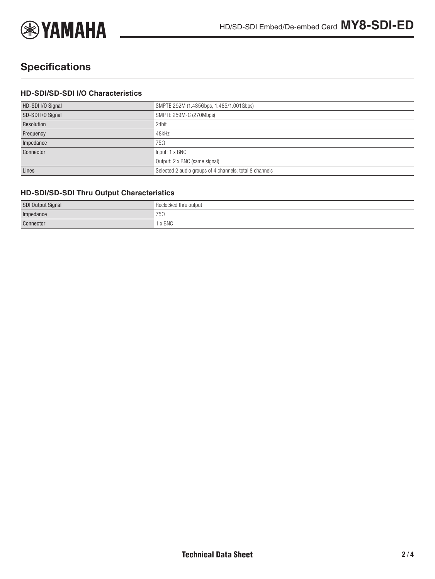

# **Specifications**

#### **HD-SDI/SD-SDI I/O Characteristics**

| HD-SDI I/O Signal | SMPTE 292M (1.485Gbps, 1.485/1.001Gbps)                 |
|-------------------|---------------------------------------------------------|
| SD-SDI I/O Signal | SMPTE 259M-C (270Mbps)                                  |
| Resolution        | 24bit                                                   |
| Frequency         | 48kHz                                                   |
| Impedance         | $75\Omega$                                              |
| Connector         | Input: 1 x BNC                                          |
|                   | Output: 2 x BNC (same signal)                           |
| Lines             | Selected 2 audio groups of 4 channels; total 8 channels |

#### **HD-SDI/SD-SDI Thru Output Characteristics**

| <b>SDI Output Signal</b> | Reclocked<br>' thru output |
|--------------------------|----------------------------|
| Impedance                | $75\Omega$                 |
| Connector                | x BNC                      |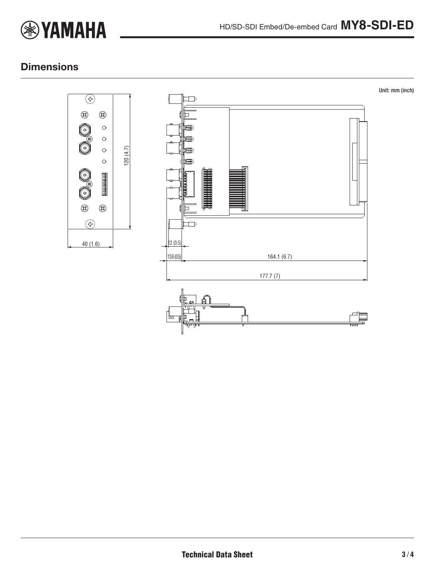

## **Dimensions**